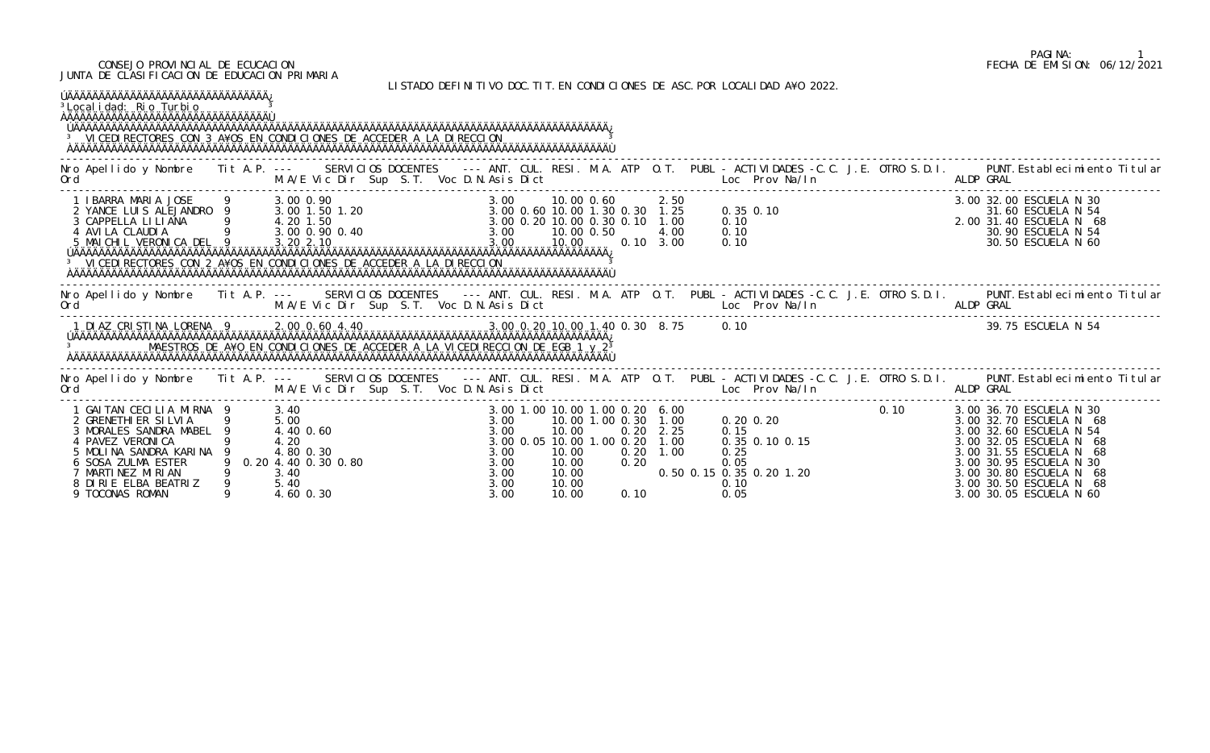#### CONSEJO PROVINCIAL DE ECUCACION FECHA DE EMISION: 06/12/2021 JUNTA DE CLASIFICACION DE EDUCACION PRIMARIA

LISTADO DEFINITIVO DOC.TIT.EN CONDICIONES DE ASC.POR LOCALIDAD A¥O 2022.

| ÚÄÄÄÄÄÄÄÄÄÄÄÄÄÄÄÄÄÄÄÄÄÄÄÄÄÄÄÄÄÄÄÄÄÄÄ<br><sup>3</sup> Local i dad: Rio Turbio<br><sup>3</sup> VICEDI RECTORES CON 3 A¥OS EN CONDICIONES DE ACCEDER A LA DIRECCION                                                                                                                                                           |                                                                     |                     |  |                                              |                                                                                 |                              |                      |                                                                                      |  |                                                                                                                                                                                                                                                      |
|----------------------------------------------------------------------------------------------------------------------------------------------------------------------------------------------------------------------------------------------------------------------------------------------------------------------------|---------------------------------------------------------------------|---------------------|--|----------------------------------------------|---------------------------------------------------------------------------------|------------------------------|----------------------|--------------------------------------------------------------------------------------|--|------------------------------------------------------------------------------------------------------------------------------------------------------------------------------------------------------------------------------------------------------|
| Ord June 19, M.A/E Vic Dir Sup S.T. Voc D.N.Asis Dict Loc Prov Na/In ALDP GRAL                                                                                                                                                                                                                                             |                                                                     |                     |  |                                              |                                                                                 |                              |                      |                                                                                      |  | Nro Apellido y Nombre Tit A.P. --- SERVICIOS DOCENTES --- ANT. CUL. RESI. M.A. ATP O.T. PUBL - ACTIVIDADES -C.C. J.E. OTRO S.D.I. PUNT. Establecimiento Titular                                                                                      |
| 1 IBARRA MARIA JOSE 9 3.00 0.90<br>2 YANCE LUIS ALEJANDRO 9 3.00 1.50 1.20 3.00 0.60 10.00 1.30 0.30 1.25<br>3 CAPPELLA LILIANA 9 4.20 1.50<br>4 AVILA CLAUDIA 9 3.00 0.90 0.40 3.00 0.20 10.00 0.30 0.10 1.00<br>5 MAICHIL VERONICA D<br><sup>3</sup> VICEDI RECTORES CON 2 A¥OS EN CONDICIONES DE ACCEDER A LA DIRECCION |                                                                     |                     |  |                                              |                                                                                 |                              |                      | $0.35$ 0.10<br>0.10<br>0.10<br>0.10                                                  |  | 3.00 32.00 ESCUELA N 30<br>31.60 ESCUELA N 54<br>2.00 31.40 ESCUELA N 68<br>30.90 ESCUELA N 54<br>30.50 ESCUELA N 54                                                                                                                                 |
| Ord M.A/E Vic Dir Sup S.T. Voc D.N.Asis Dict Loc Prov Na/In ALDP GRAL                                                                                                                                                                                                                                                      |                                                                     |                     |  |                                              |                                                                                 |                              |                      |                                                                                      |  | Nro Apellido y Nombre Tit A.P. --- SERVICIOS DOCENTES --- ANT. CUL. RESI. M.A. ATP O.T. PUBL - ACTIVIDADES -C.C. J.E. OTRO S.D.I. PUNT. Establecimiento Titular                                                                                      |
| MAESTROS DE A¥O EN CONDICIONES DE ACCEDER A LA VICEDIRECCION DE EGB 1 y 2 <sup>3</sup>                                                                                                                                                                                                                                     |                                                                     |                     |  |                                              |                                                                                 |                              |                      |                                                                                      |  | 39.75 ESCUELA N 54                                                                                                                                                                                                                                   |
| Ord                                                                                                                                                                                                                                                                                                                        |                                                                     |                     |  |                                              |                                                                                 |                              |                      |                                                                                      |  | Nro Apellido y Nombre Tit A.P. --- SERVICIOS DOCENTES --- ANT. CUL. RESI. M.A. ATP O.T. PUBL - ACTIVIDADES -C.C. J.E. OTRO S.D.I. PUNT. Establecimiento Titular                                                                                      |
| 1 GAITAN CECILIA MIRNA 9 3.40<br>2 GRENETHI ER SILVIA<br>3 MORALES SANDRA MABEL<br>4 PAVEZ VERONICA<br>5 MOLINA SANDRA KARINA<br>6 SOSA ZULMA ESTER<br>7 MARTINEZ MIRIAN<br>8 DIRIE ELBA BEATRIZ<br>9 TOCONAS ROMAN                                                                                                        | 5.00<br>4.40 0.60<br>4.20<br>4.80 0.30<br>3.40<br>5.40<br>4.60 0.30 | 0.20 4.40 0.30 0.80 |  | 3.00<br>3.00<br>3.00<br>3.00<br>3.00<br>3.00 | 10.00<br>3.00 0.05 10.00 1.00 0.20<br>10.00<br>10.00<br>10.00<br>10.00<br>10.00 | 0.20<br>0.20<br>0.20<br>0.10 | 2.25<br>1.00<br>1.00 | 0.15<br>$0.35$ 0.10 0.15<br>0.25<br>0.05<br>0.50 0.15 0.35 0.20 1.20<br>0.10<br>0.05 |  | 0.10 3.00 36.70 ESCUELA N 30<br>3.00 32.70 ESCUELA N 68<br>3.00 32.60 ESCUELA N 54<br>3.00 32.05 ESCUELA N 68<br>3.00 31.55 ESCUELA N 68<br>3.00 30.95 ESCUELA N 30<br>3.00 30.80 ESCUELA N 68<br>3.00 30.50 ESCUELA N 68<br>3.00 30.05 ESCUELA N 60 |

# PAGINA: 1<br>FECHA DE EMISION: 06/12/2021